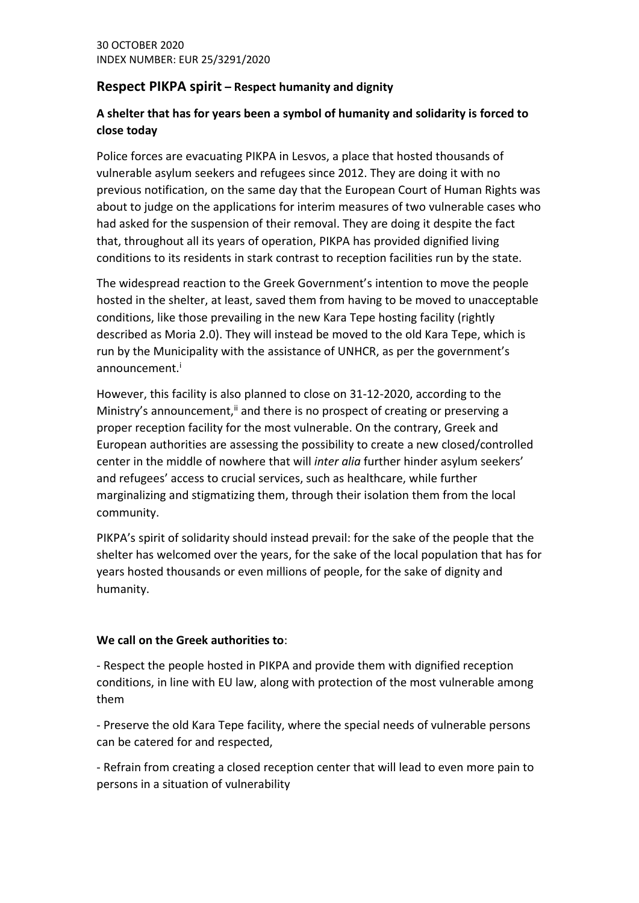## **Respect PIKPA spirit – Respect humanity and dignity**

## **A shelter that has for years been a symbol of humanity and solidarity is forced to close today**

Police forces are evacuating PIKPA in Lesvos, a place that hosted thousands of vulnerable asylum seekers and refugees since 2012. They are doing it with no previous notification, on the same day that the European Court of Human Rights was about to judge on the applications for interim measures of two vulnerable cases who had asked for the suspension of their removal. They are doing it despite the fact that, throughout all its years of operation, PIKPA has provided dignified living conditions to its residents in stark contrast to reception facilities run by the state.

The widespread reaction to the Greek Government's intention to move the people hosted in the shelter, at least, saved them from having to be moved to unacceptable conditions, like those prevailing in the new Kara Tepe hosting facility (rightly described as Moria 2.0). They will instead be moved to the old Kara Tepe, which is run by the Municipality with the assistance of UNHCR, as per the government's announcement.<sup>i</sup>

However, this facility is also planned to close on 31-12-2020, according to the Ministry's announcement, $\ddot{a}$  and there is no prospect of creating or preserving a proper reception facility for the most vulnerable. On the contrary, Greek and European authorities are assessing the possibility to create a new closed/controlled center in the middle of nowhere that will *inter alia* further hinder asylum seekers' and refugees' access to crucial services, such as healthcare, while further marginalizing and stigmatizing them, through their isolation them from the local community.

PIKPA's spirit of solidarity should instead prevail: for the sake of the people that the shelter has welcomed over the years, for the sake of the local population that has for years hosted thousands or even millions of people, for the sake of dignity and humanity.

## **We call on the Greek authorities to**:

- Respect the people hosted in PIKPA and provide them with dignified reception conditions, in line with EU law, along with protection of the most vulnerable among them

- Preserve the old Kara Tepe facility, where the special needs of vulnerable persons can be catered for and respected,

- Refrain from creating a closed reception center that will lead to even more pain to persons in a situation of vulnerability